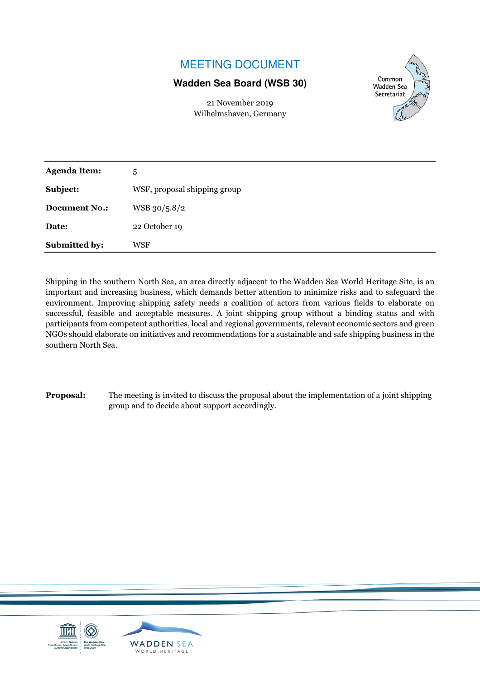# MEETING DOCUMENT

# **Wadden Sea Board (WSB 30)**

Common Wadden Sea Secretariat

| 21 November 2019       |  |
|------------------------|--|
| Wilhelmshaven, Germany |  |

| <b>Agenda Item:</b>  | 5                            |
|----------------------|------------------------------|
| Subject:             | WSF, proposal shipping group |
| <b>Document No.:</b> | WSB 30/5.8/2                 |
| Date:                | 22 October 19                |
| <b>Submitted by:</b> | WSF                          |

Shipping in the southern North Sea, an area directly adjacent to the Wadden Sea World Heritage Site, is an important and increasing business, which demands better attention to minimize risks and to safeguard the environment. Improving shipping safety needs a coalition of actors from various fields to elaborate on successful, feasible and acceptable measures. A joint shipping group without a binding status and with participants from competent authorities, local and regional governments, relevant economic sectors and green NGOs should elaborate on initiatives and recommendations for a sustainable and safe shipping business in the southern North Sea.

**Proposal:** The meeting is invited to discuss the proposal about the implementation of a joint shipping group and to decide about support accordingly.

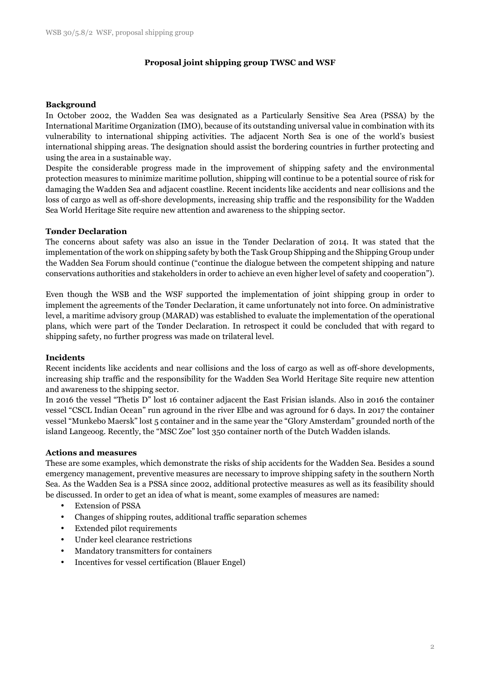# **Proposal joint shipping group TWSC and WSF**

#### **Background**

In October 2002, the Wadden Sea was designated as a Particularly Sensitive Sea Area (PSSA) by the International Maritime Organization (IMO), because of its outstanding universal value in combination with its vulnerability to international shipping activities. The adjacent North Sea is one of the world's busiest international shipping areas. The designation should assist the bordering countries in further protecting and using the area in a sustainable way.

Despite the considerable progress made in the improvement of shipping safety and the environmental protection measures to minimize maritime pollution, shipping will continue to be a potential source of risk for damaging the Wadden Sea and adjacent coastline. Recent incidents like accidents and near collisions and the loss of cargo as well as off-shore developments, increasing ship traffic and the responsibility for the Wadden Sea World Heritage Site require new attention and awareness to the shipping sector.

#### **Tønder Declaration**

The concerns about safety was also an issue in the Tønder Declaration of 2014. It was stated that the implementation of the work on shipping safety by both the Task Group Shipping and the Shipping Group under the Wadden Sea Forum should continue ("continue the dialogue between the competent shipping and nature conservations authorities and stakeholders in order to achieve an even higher level of safety and cooperation").

Even though the WSB and the WSF supported the implementation of joint shipping group in order to implement the agreements of the Tønder Declaration, it came unfortunately not into force. On administrative level, a maritime advisory group (MARAD) was established to evaluate the implementation of the operational plans, which were part of the Tønder Declaration. In retrospect it could be concluded that with regard to shipping safety, no further progress was made on trilateral level.

#### **Incidents**

Recent incidents like accidents and near collisions and the loss of cargo as well as off-shore developments, increasing ship traffic and the responsibility for the Wadden Sea World Heritage Site require new attention and awareness to the shipping sector.

In 2016 the vessel "Thetis D" lost 16 container adjacent the East Frisian islands. Also in 2016 the container vessel "CSCL Indian Ocean" run aground in the river Elbe and was aground for 6 days. In 2017 the container vessel "Munkebo Maersk" lost 5 container and in the same year the "Glory Amsterdam" grounded north of the island Langeoog. Recently, the "MSC Zoe" lost 350 container north of the Dutch Wadden islands.

#### **Actions and measures**

These are some examples, which demonstrate the risks of ship accidents for the Wadden Sea. Besides a sound emergency management, preventive measures are necessary to improve shipping safety in the southern North Sea. As the Wadden Sea is a PSSA since 2002, additional protective measures as well as its feasibility should be discussed. In order to get an idea of what is meant, some examples of measures are named:

- Extension of PSSA
- Changes of shipping routes, additional traffic separation schemes
- Extended pilot requirements
- Under keel clearance restrictions
- Mandatory transmitters for containers
- Incentives for vessel certification (Blauer Engel)